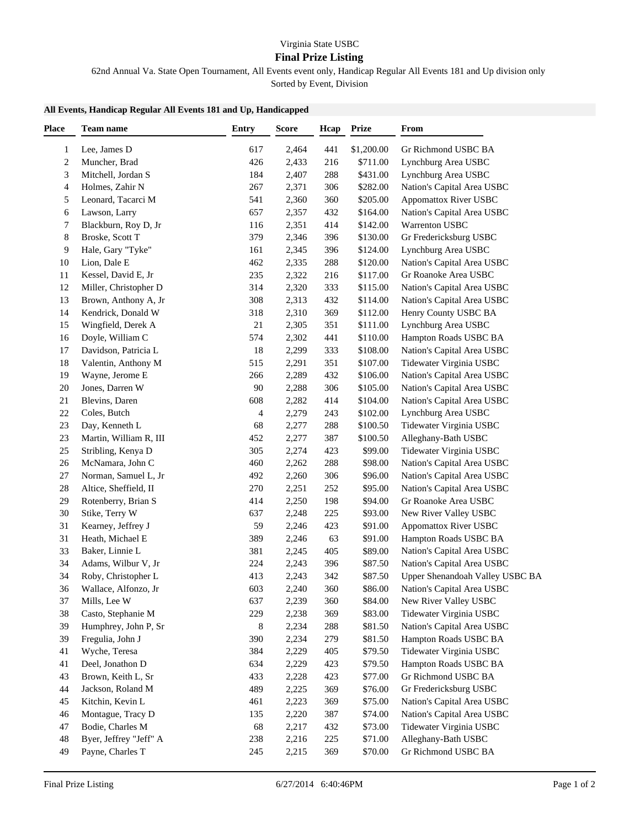## Virginia State USBC

## **Final Prize Listing**

62nd Annual Va. State Open Tournament, All Events event only, Handicap Regular All Events 181 and Up division only

Sorted by Event, Division

## **All Events, Handicap Regular All Events 181 and Up, Handicapped**

| <b>Place</b> | Team name              | Entry | <b>Score</b> | Hcap | <b>Prize</b> | From                            |
|--------------|------------------------|-------|--------------|------|--------------|---------------------------------|
| 1            | Lee, James D           | 617   | 2,464        | 441  | \$1,200.00   | Gr Richmond USBC BA             |
| 2            | Muncher, Brad          | 426   | 2,433        | 216  | \$711.00     | Lynchburg Area USBC             |
| 3            | Mitchell, Jordan S     | 184   | 2,407        | 288  | \$431.00     | Lynchburg Area USBC             |
| 4            | Holmes, Zahir N        | 267   | 2,371        | 306  | \$282.00     | Nation's Capital Area USBC      |
| 5            | Leonard, Tacarci M     | 541   | 2,360        | 360  | \$205.00     | <b>Appomattox River USBC</b>    |
| 6            | Lawson, Larry          | 657   | 2,357        | 432  | \$164.00     | Nation's Capital Area USBC      |
| 7            | Blackburn, Roy D, Jr   | 116   | 2,351        | 414  | \$142.00     | Warrenton USBC                  |
| 8            | Broske, Scott T        | 379   | 2,346        | 396  | \$130.00     | Gr Fredericksburg USBC          |
| 9            | Hale, Gary "Tyke"      | 161   | 2,345        | 396  | \$124.00     | Lynchburg Area USBC             |
| 10           | Lion, Dale E           | 462   | 2,335        | 288  | \$120.00     | Nation's Capital Area USBC      |
| 11           | Kessel, David E, Jr    | 235   | 2,322        | 216  | \$117.00     | Gr Roanoke Area USBC            |
| 12           | Miller, Christopher D  | 314   | 2,320        | 333  | \$115.00     | Nation's Capital Area USBC      |
| 13           | Brown, Anthony A, Jr   | 308   | 2,313        | 432  | \$114.00     | Nation's Capital Area USBC      |
| 14           | Kendrick, Donald W     | 318   | 2,310        | 369  | \$112.00     | Henry County USBC BA            |
| 15           | Wingfield, Derek A     | 21    | 2,305        | 351  | \$111.00     | Lynchburg Area USBC             |
| 16           | Doyle, William C       | 574   | 2,302        | 441  | \$110.00     | Hampton Roads USBC BA           |
| 17           | Davidson, Patricia L   | 18    | 2,299        | 333  | \$108.00     | Nation's Capital Area USBC      |
| 18           | Valentin, Anthony M    | 515   | 2,291        | 351  | \$107.00     | Tidewater Virginia USBC         |
| 19           | Wayne, Jerome E        | 266   | 2,289        | 432  | \$106.00     | Nation's Capital Area USBC      |
| 20           | Jones, Darren W        | 90    | 2,288        | 306  | \$105.00     | Nation's Capital Area USBC      |
| 21           | Blevins, Daren         | 608   | 2,282        | 414  | \$104.00     | Nation's Capital Area USBC      |
| $22\,$       | Coles, Butch           | 4     | 2,279        | 243  | \$102.00     | Lynchburg Area USBC             |
| 23           | Day, Kenneth L         | 68    | 2,277        | 288  | \$100.50     | Tidewater Virginia USBC         |
| 23           | Martin, William R, III | 452   | 2,277        | 387  | \$100.50     | Alleghany-Bath USBC             |
| 25           | Stribling, Kenya D     | 305   | 2,274        | 423  | \$99.00      | Tidewater Virginia USBC         |
| 26           | McNamara, John C       | 460   | 2,262        | 288  | \$98.00      | Nation's Capital Area USBC      |
| 27           | Norman, Samuel L, Jr   | 492   | 2,260        | 306  | \$96.00      | Nation's Capital Area USBC      |
| 28           | Altice, Sheffield, II  | 270   | 2,251        | 252  | \$95.00      | Nation's Capital Area USBC      |
| 29           | Rotenberry, Brian S    | 414   | 2,250        | 198  | \$94.00      | Gr Roanoke Area USBC            |
| $30\,$       | Stike, Terry W         | 637   | 2,248        | 225  | \$93.00      | New River Valley USBC           |
| 31           | Kearney, Jeffrey J     | 59    | 2,246        | 423  | \$91.00      | <b>Appomattox River USBC</b>    |
| 31           | Heath, Michael E       | 389   | 2,246        | 63   | \$91.00      | Hampton Roads USBC BA           |
| 33           | Baker, Linnie L        | 381   | 2,245        | 405  | \$89.00      | Nation's Capital Area USBC      |
| 34           | Adams, Wilbur V, Jr    | 224   | 2,243        | 396  | \$87.50      | Nation's Capital Area USBC      |
| 34           | Roby, Christopher L    | 413   | 2,243        | 342  | \$87.50      | Upper Shenandoah Valley USBC BA |
| 36           | Wallace, Alfonzo, Jr   | 603   | 2,240        | 360  | \$86.00      | Nation's Capital Area USBC      |
| 37           | Mills, Lee W           | 637   | 2,239        | 360  | \$84.00      | New River Valley USBC           |
| 38           | Casto, Stephanie M     | 229   | 2,238        | 369  | \$83.00      | Tidewater Virginia USBC         |
| 39           | Humphrey, John P, Sr   | 8     | 2,234        | 288  | \$81.50      | Nation's Capital Area USBC      |
| 39           | Fregulia, John J       | 390   | 2,234        | 279  | \$81.50      | Hampton Roads USBC BA           |
| 41           | Wyche, Teresa          | 384   | 2,229        | 405  | \$79.50      | Tidewater Virginia USBC         |
| 41           | Deel, Jonathon D       | 634   | 2,229        | 423  | \$79.50      | Hampton Roads USBC BA           |
| 43           | Brown, Keith L, Sr     | 433   | 2,228        | 423  | \$77.00      | Gr Richmond USBC BA             |
| 44           | Jackson, Roland M      | 489   | 2,225        | 369  | \$76.00      | Gr Fredericksburg USBC          |
| 45           | Kitchin, Kevin L       | 461   | 2,223        | 369  | \$75.00      | Nation's Capital Area USBC      |
| 46           | Montague, Tracy D      | 135   | 2,220        | 387  | \$74.00      | Nation's Capital Area USBC      |
| 47           | Bodie, Charles M       | 68    | 2,217        | 432  | \$73.00      | Tidewater Virginia USBC         |
| 48           | Byer, Jeffrey "Jeff" A | 238   | 2,216        | 225  | \$71.00      | Alleghany-Bath USBC             |
| 49           | Payne, Charles T       | 245   | 2,215        | 369  | \$70.00      | Gr Richmond USBC BA             |
|              |                        |       |              |      |              |                                 |